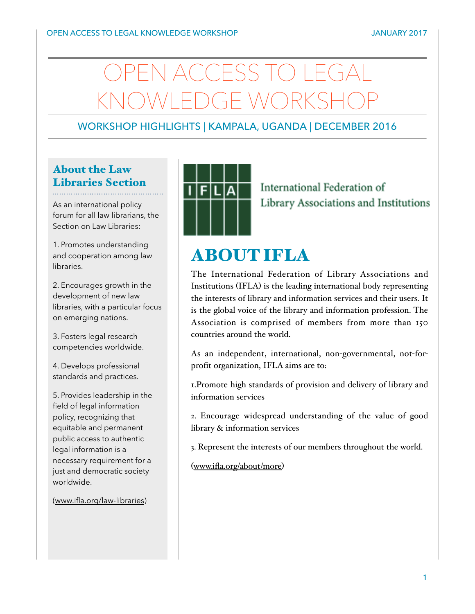# N ACCESS TO LEG KNOWLEDGE WORKSHOP

## WORKSHOP HIGHLIGHTS | KAMPALA, UGANDA | DECEMBER 2016

# About the Law Libraries Section

As an international policy forum for all law librarians, the Section on Law Libraries:

1. Promotes understanding and cooperation among law libraries.

2. Encourages growth in the development of new law libraries, with a particular focus on emerging nations.

3. Fosters legal research competencies worldwide.

4. Develops professional standards and practices.

5. Provides leadership in the field of legal information policy, recognizing that equitable and permanent public access to authentic legal information is a necessary requirement for a just and democratic society worldwide.

([www.ifla.org/law-libraries](http://www.ifla.org/law-libraries))



International Federation of Library Associations and Institutions

# ABOUT IFLA

The International Federation of Library Associations and Institutions (IFLA) is the leading international body representing the interests of library and information services and their users. It is the global voice of the library and information profession. The Association is comprised of members from more than 150 countries around the world.

As an independent, international, non-governmental, not-forprofit organization, IFLA aims are to:

1.Promote high standards of provision and delivery of library and information services

2. Encourage widespread understanding of the value of good library & information services

3. Represent the interests of our members throughout the world.

([www.ifla.org/about/more](http://www.ifla.org/about/more))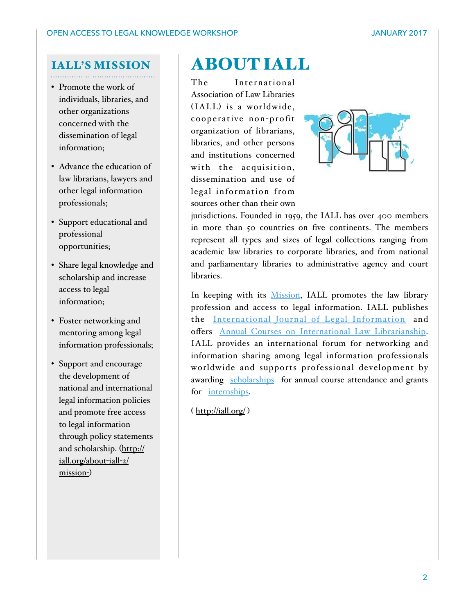### IALL'S MISSION

- Promote the work of individuals, libraries, and other organizations concerned with the dissemination of legal information;
- Advance the education of law librarians, lawyers and other legal information professionals;
- Support educational and professional opportunities;
- Share legal knowledge and scholarship and increase access to legal information;
- Foster networking and mentoring among legal information professionals;
- Support and encourage the development of national and international legal information policies and promote free access to legal information through policy statements and scholarship. (http:// iall.org/about-iall-2/ mission-)

# ABOUT IALL

The International Association of Law Libraries (IALL) is a worldwide, cooperative non-profit organization of librarians, libraries, and other persons and institutions concerned with the acquisition, dissemination and use of legal information from sources other than their own



jurisdictions. Founded in 1959, the IALL has over 400 members in more than 50 countries on five continents. The members represent all types and sizes of legal collections ranging from academic law libraries to corporate libraries, and from national and parliamentary libraries to administrative agency and court libraries.

In keeping with its Mission, IALL promotes the law library profession and access to legal information. IALL publishes the International Journal of Legal Information and offers Annual Courses on International Law Librarianship. IALL provides an international forum for networking and information sharing among legal information professionals worldwide and supports professional development by awarding scholarships for annual course attendance and grants for internships.

( http://iall.org/ )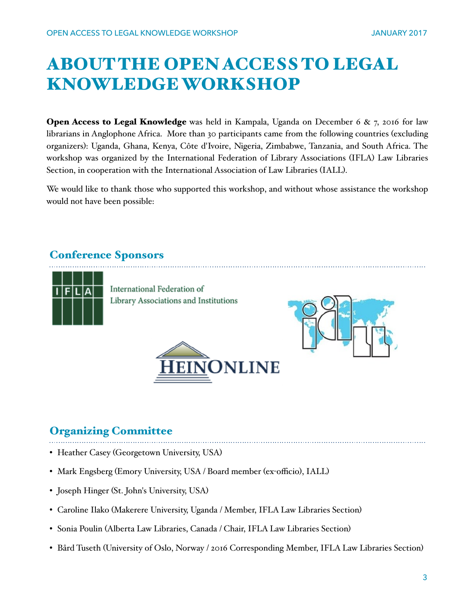# ABOUT THE OPEN ACCESS TO LEGAL KNOWLEDGE WORKSHOP

**Open Access to Legal Knowledge** was held in Kampala, Uganda on December 6  $\& \, 7$ , 2016 for law librarians in Anglophone Africa. More than 30 participants came from the following countries (excluding organizers): Uganda, Ghana, Kenya, Côte d'Ivoire, Nigeria, Zimbabwe, Tanzania, and South Africa. The workshop was organized by the International Federation of Library Associations (IFLA) Law Libraries Section, in cooperation with the International Association of Law Libraries (IALL).

We would like to thank those who supported this workshop, and without whose assistance the workshop would not have been possible:

### Conference Sponsors



International Federation of Library Associations and Institutions





### Organizing Committee

- Heather Casey (Georgetown University, USA)
- Mark Engsberg (Emory University, USA / Board member (ex-officio), IALL)
- Joseph Hinger (St. John's University, USA)
- Caroline Ilako (Makerere University, Uganda / Member, IFLA Law Libraries Section)
- Sonia Poulin (Alberta Law Libraries, Canada / Chair, IFLA Law Libraries Section)
- Bård Tuseth (University of Oslo, Norway / 2016 Corresponding Member, IFLA Law Libraries Section)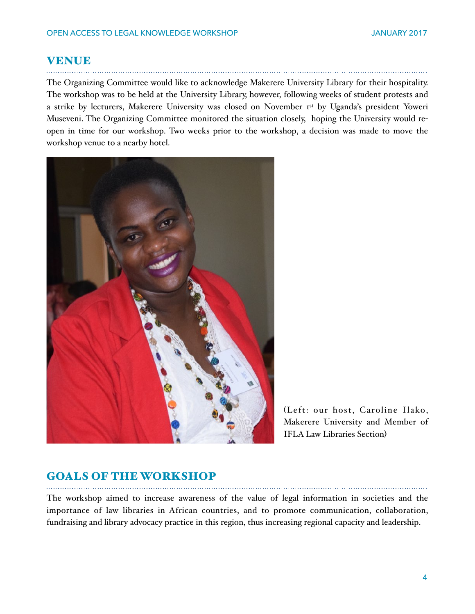#### VENUE

The Organizing Committee would like to acknowledge Makerere University Library for their hospitality. The workshop was to be held at the University Library, however, following weeks of student protests and a strike by lecturers, Makerere University was closed on November 1st by Uganda's president Yoweri Museveni. The Organizing Committee monitored the situation closely, hoping the University would reopen in time for our workshop. Two weeks prior to the workshop, a decision was made to move the workshop venue to a nearby hotel.



(Left: our host, Caroline Ilako, Makerere University and Member of IFLA Law Libraries Section)

# GOALS OF THE WORKSHOP

The workshop aimed to increase awareness of the value of legal information in societies and the importance of law libraries in African countries, and to promote communication, collaboration, fundraising and library advocacy practice in this region, thus increasing regional capacity and leadership.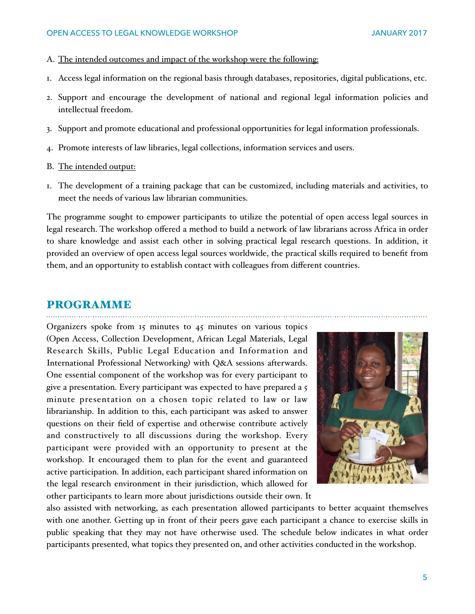#### OPEN ACCESS TO LEGAL KNOWLEDGE WORKSHOP JANUARY 2017

- A. The intended outcomes and impact of the workshop were the following:
- 1. Access legal information on the regional basis through databases, repositories, digital publications, etc.
- 2. Support and encourage the development of national and regional legal information policies and intellectual freedom.
- 3. Support and promote educational and professional opportunities for legal information professionals.
- 4. Promote interests of law libraries, legal collections, information services and users.
- B. The intended output:
- 1. The development of a training package that can be customized, including materials and activities, to meet the needs of various law librarian communities.

The programme sought to empower participants to utilize the potential of open access legal sources in legal research. The workshop offered a method to build a network of law librarians across Africa in order to share knowledge and assist each other in solving practical legal research questions. In addition, it provided an overview of open access legal sources worldwide, the practical skills required to benefit from them, and an opportunity to establish contact with colleagues from different countries.

#### PROGRAMME

Organizers spoke from 15 minutes to 45 minutes on various topics (Open Access, Collection Development, African Legal Materials, Legal Research Skills, Public Legal Education and Information and International Professional Networking) with Q&A sessions afterwards. One essential component of the workshop was for every participant to give a presentation. Every participant was expected to have prepared a 5 minute presentation on a chosen topic related to law or law librarianship. In addition to this, each participant was asked to answer questions on their field of expertise and otherwise contribute actively and constructively to all discussions during the workshop. Every participant were provided with an opportunity to present at the workshop. It encouraged them to plan for the event and guaranteed active participation. In addition, each participant shared information on the legal research environment in their jurisdiction, which allowed for other participants to learn more about jurisdictions outside their own. It



also assisted with networking, as each presentation allowed participants to better acquaint themselves with one another. Getting up in front of their peers gave each participant a chance to exercise skills in public speaking that they may not have otherwise used. The schedule below indicates in what order participants presented, what topics they presented on, and other activities conducted in the workshop.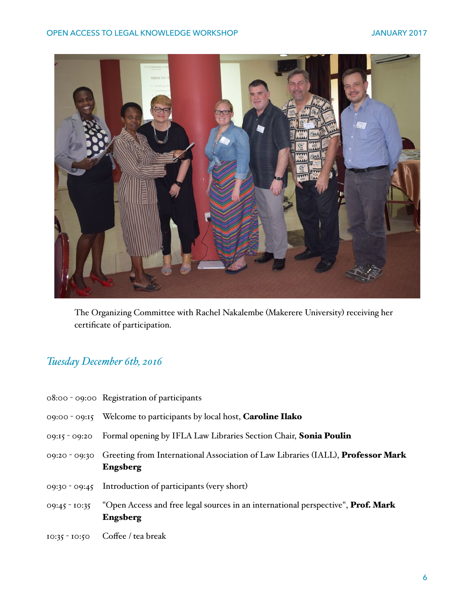

The Organizing Committee with Rachel Nakalembe (Makerere University) receiving her certificate of participation.

# *Tuesday December 6th, 2016*

| 08:00 - 09:00 Registration of participants                                                                       |
|------------------------------------------------------------------------------------------------------------------|
| 09:00 - 09:15 Welcome to participants by local host, <b>Caroline Ilako</b>                                       |
| 09:15 - 09:20 Formal opening by IFLA Law Libraries Section Chair, Sonia Poulin                                   |
| 09:20 - 09:30 Greeting from International Association of Law Libraries (IALL), <b>Professor Mark</b><br>Engsberg |
| 09:30 - 09:45 Introduction of participants (very short)                                                          |
| 09:45 - 10:35 "Open Access and free legal sources in an international perspective", Prof. Mark<br>Engsberg       |
| 10:35 - 10:50 Coffee / tea break                                                                                 |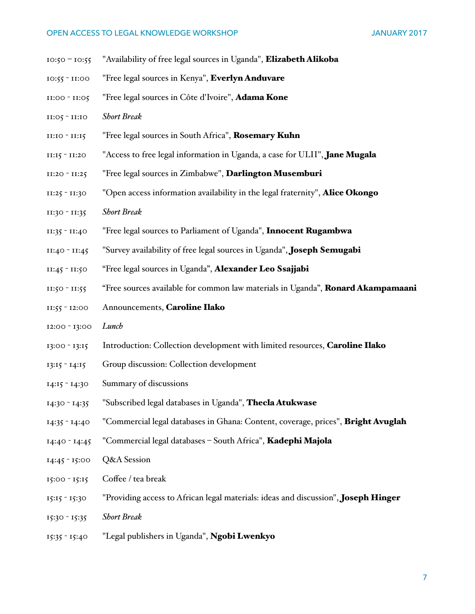#### OPEN ACCESS TO LEGAL KNOWLEDGE WORKSHOP JANUARY 2017

- 10:50 10:55 "Availability of free legal sources in Uganda", Elizabeth Alikoba
- 10:55 11:00 "Free legal sources in Kenya", Everlyn Anduvare
- 11:00 11:05 "Free legal sources in Côte d'Ivoire", Adama Kone
- 11:05 11:10 *Short Break*
- 11:10 11:15 "Free legal sources in South Africa", Rosemary Kuhn
- $11:15 11:20$  "Access to free legal information in Uganda, a case for ULII", **Jane Mugala**
- 11:20 11:25 "Free legal sources in Zimbabwe", Darlington Musemburi
- $11:25 11:30$  "Open access information availability in the legal fraternity", **Alice Okongo**
- 11:30 11:35 *Short Break*
- 11:35 11:40 "Free legal sources to Parliament of Uganda", Innocent Rugambwa
- $11:40 11:45$  "Survey availability of free legal sources in Uganda", Joseph Semugabi
- 11:45 11:50 "Free legal sources in Uganda", Alexander Leo Ssajjabi
- 11:50 11:55 "Free sources available for common law materials in Uganda", **Ronard Akampamaani**
- 11:55 12:00 Announcements, Caroline Ilako
- 12:00 13:00 *Lunch*
- 13:00 13:15 Introduction: Collection development with limited resources, Caroline Ilako
- 13:15 14:15 Group discussion: Collection development
- 14:15 14:30 Summary of discussions
- 14:30 14:35 "Subscribed legal databases in Uganda", Thecla Atukwase
- 14:35 14:40 "Commercial legal databases in Ghana: Content, coverage, prices", Bright Avuglah
- 14:40 14:45 "Commercial legal databases South Africa", Kadephi Majola
- 14:45 15:00 Q&A Session
- 15:00 15:15 Coffee / tea break
- 15:15 15:30 "Providing access to African legal materials: ideas and discussion", Joseph Hinger
- 15:30 15:35 *Short Break*
- 15:35 15:40 "Legal publishers in Uganda", Ngobi Lwenkyo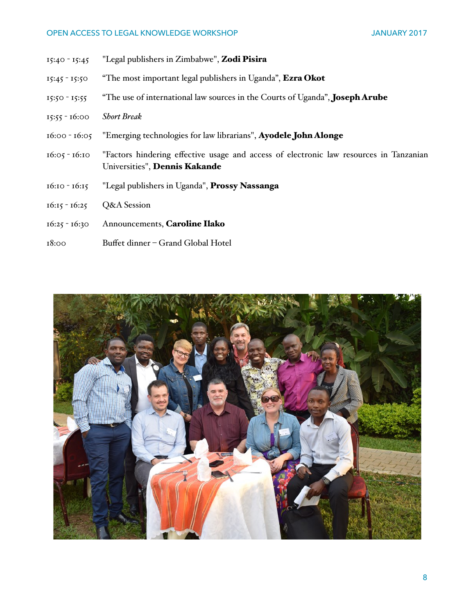#### OPEN ACCESS TO LEGAL KNOWLEDGE WORKSHOP JANUARY 2017

- 15:40 15:45 "Legal publishers in Zimbabwe", Zodi Pisira
- 15:45 15:50 "The most important legal publishers in Uganda", Ezra Okot
- 15:50 15:55 "The use of international law sources in the Courts of Uganda", Joseph Arube
- 15:55 16:00 *Short Break*
- 16:00 16:05 "Emerging technologies for law librarians", Ayodele John Alonge
- 16:05 16:10 "Factors hindering effective usage and access of electronic law resources in Tanzanian Universities", Dennis Kakande
- 16:10 16:15 "Legal publishers in Uganda", Prossy Nassanga
- 16:15 16:25 Q&A Session
- 16:25 16:30 Announcements, Caroline Ilako
- 18:00 Buffet dinner Grand Global Hotel

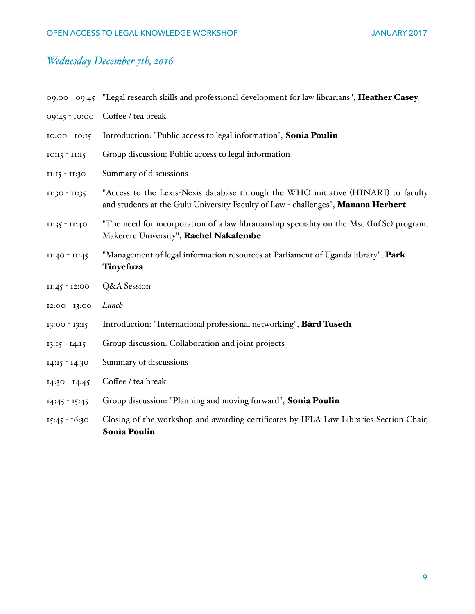# *Wednesday December 7th, 2016*

|                   | 09:00 - 09:45 "Legal research skills and professional development for law librarians", Heather Casey                                                                   |
|-------------------|------------------------------------------------------------------------------------------------------------------------------------------------------------------------|
| 09:45 - 10:00     | Coffee / tea break                                                                                                                                                     |
| 10:00 - 10:15     | Introduction: "Public access to legal information", Sonia Poulin                                                                                                       |
| $IO: I5 - II: I5$ | Group discussion: Public access to legal information                                                                                                                   |
| II:15 - II:30     | Summary of discussions                                                                                                                                                 |
| II:30 - II:35     | "Access to the Lexis-Nexis database through the WHO initiative (HINARI) to faculty<br>and students at the Gulu University Faculty of Law - challenges", Manana Herbert |
| II:35 - II:40     | "The need for incorporation of a law librarianship speciality on the Msc. (Inf.Sc) program,<br>Makerere University", Rachel Nakalembe                                  |
| II:40 - II:45     | "Management of legal information resources at Parliament of Uganda library", Park<br>Tinyefuza                                                                         |
| $II:45 - I2:00$   | Q&A Session                                                                                                                                                            |
| 12:00 - 13:00     | Lunch                                                                                                                                                                  |
| $13:00 - 13:15$   | Introduction: "International professional networking", Bård Tuseth                                                                                                     |
| $13:15 - 14:15$   | Group discussion: Collaboration and joint projects                                                                                                                     |
| $14:15 - 14:30$   | Summary of discussions                                                                                                                                                 |
| $14:30 - 14:45$   | Coffee / tea break                                                                                                                                                     |
| $14:45 - 15:45$   | Group discussion: "Planning and moving forward", Sonia Poulin                                                                                                          |
| $15:45 - 16:30$   | Closing of the workshop and awarding certificates by IFLA Law Libraries Section Chair,<br><b>Sonia Poulin</b>                                                          |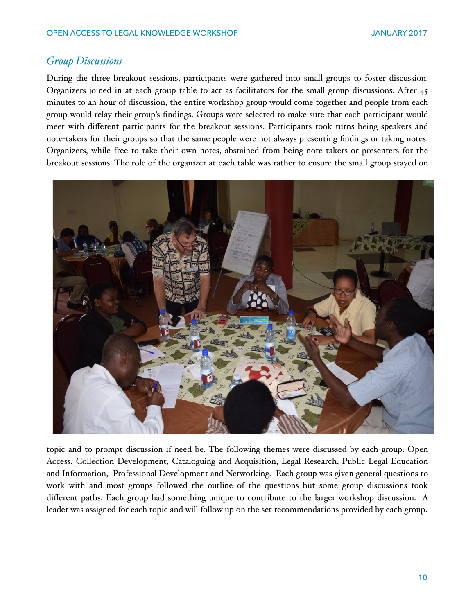### *Group Discussions*

During the three breakout sessions, participants were gathered into small groups to foster discussion. Organizers joined in at each group table to act as facilitators for the small group discussions. After 45 minutes to an hour of discussion, the entire workshop group would come together and people from each group would relay their group's findings. Groups were selected to make sure that each participant would meet with different participants for the breakout sessions. Participants took turns being speakers and note-takers for their groups so that the same people were not always presenting findings or taking notes. Organizers, while free to take their own notes, abstained from being note takers or presenters for the breakout sessions. The role of the organizer at each table was rather to ensure the small group stayed on



topic and to prompt discussion if need be. The following themes were discussed by each group: Open Access, Collection Development, Cataloguing and Acquisition, Legal Research, Public Legal Education and Information, Professional Development and Networking. Each group was given general questions to work with and most groups followed the outline of the questions but some group discussions took different paths. Each group had something unique to contribute to the larger workshop discussion. A leader was assigned for each topic and will follow up on the set recommendations provided by each group.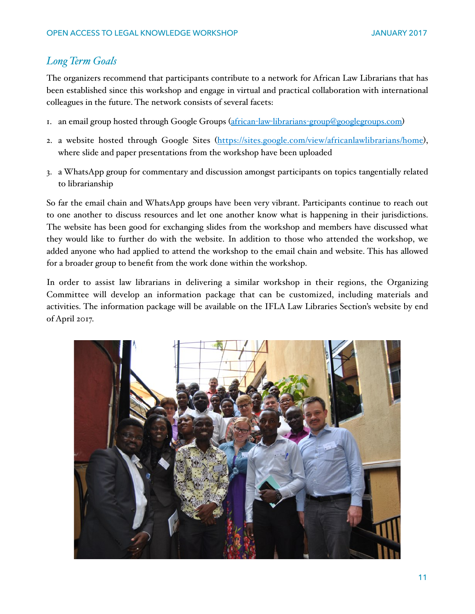#### *Long Term Goals*

The organizers recommend that participants contribute to a network for African Law Librarians that has been established since this workshop and engage in virtual and practical collaboration with international colleagues in the future. The network consists of several facets:

- 1. an email group hosted through Google Groups (african-law-librarians-group@googlegroups.com)
- 2. a website hosted through Google Sites (https://sites.google.com/view/africanlawlibrarians/home), where slide and paper presentations from the workshop have been uploaded
- 3. a WhatsApp group for commentary and discussion amongst participants on topics tangentially related to librarianship

So far the email chain and WhatsApp groups have been very vibrant. Participants continue to reach out to one another to discuss resources and let one another know what is happening in their jurisdictions. The website has been good for exchanging slides from the workshop and members have discussed what they would like to further do with the website. In addition to those who attended the workshop, we added anyone who had applied to attend the workshop to the email chain and website. This has allowed for a broader group to benefit from the work done within the workshop.

In order to assist law librarians in delivering a similar workshop in their regions, the Organizing Committee will develop an information package that can be customized, including materials and activities. The information package will be available on the IFLA Law Libraries Section's website by end of April 2017.